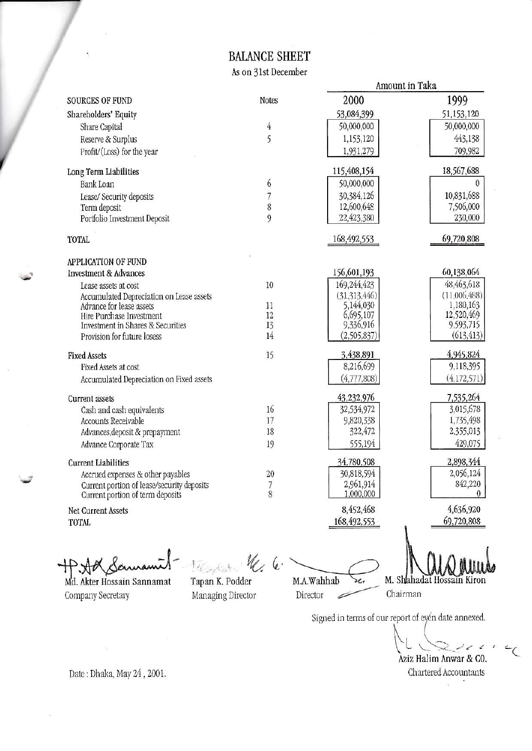## **BALANCE SHEET**

As on 31st December

|                                                                                |                | Amount in Taka         |                         |
|--------------------------------------------------------------------------------|----------------|------------------------|-------------------------|
| <b>SOURCES OF FUND</b>                                                         | <b>Notes</b>   | 2000                   | 1999                    |
| Shareholders' Equity                                                           |                | 53,084,399             | 51,153,120              |
| Share Capital                                                                  | $\overline{4}$ | 50,000,000             | 50,000,000              |
| Reserve & Surplus                                                              | 5              | 1,153,120              | 443,138                 |
| Profit/(Loss) for the year                                                     |                | 1,931,279              | 709,982                 |
| Long Term Liabilities                                                          |                | 115,408,154            | 18,567,688              |
| <b>Bank Loan</b>                                                               | 6              | 50,000,000             | 0                       |
| Lease/ Security deposits                                                       | 7              | 30,384,126             | 10,831,688              |
| Term deposit                                                                   | 8              | 12,600,648             | 7,506,000               |
| Portfolio Investment Deposit                                                   | 9              | 22,423,380             | 230,000                 |
| <b>TOTAL</b>                                                                   |                | 168,492,553            | 69,720,808              |
| <b>APPLICATION OF FUND</b>                                                     |                |                        |                         |
| <b>Investment &amp; Advances</b>                                               |                | 156,601,193            | 60,138,064              |
| Lease assets at cost                                                           | 10             | 169,244,423            | 48,463,618              |
| Accumulated Depreciation on Lease assets                                       |                | (31,313,446)           | (11,006,488)            |
| Advance for lease assets                                                       | 11<br>12       | 5,144,030              | 1,180,163<br>12,520,469 |
| Hire Purchase Investment<br>Investment in Shares & Securities                  | 13             | 6,695,107<br>9,336,916 | 9,593,715               |
| Provision for future losess                                                    | 14             | (2,505,837)            | (613, 413)              |
| <b>Fixed Assets</b>                                                            | 15             | 3,438,891              | 4,945,824               |
| Fixed Assets at cost                                                           |                | 8,216,699              | 9,118,395               |
| Accumulated Depreciation on Fixed assets                                       |                | (4,777,808)            | (4,172,571)             |
| <b>Current</b> assets                                                          |                | 43,232,976             | 7,535,264               |
| Cash and cash equivalents                                                      | 16             | 32,534,972             | 3,015,678               |
| Accounts Receivable                                                            | 17             | 9,820,338              | 1,735,498               |
| Advances, deposit & prepayment                                                 | 18             | 322,472                | 2,355,013               |
| Advance Corporate Tax                                                          | 19             | 555,194                | 429,075                 |
| <b>Current Liabilities</b>                                                     |                | 34,780,508             | 2,898,344               |
| Accrued expenses & other payables                                              | 20             | 30,818,594             | 2,056,124               |
| Current portion of lease/security deposits<br>Current portion of term deposits | $\frac{7}{8}$  | 2,961,914<br>1,000,000 | 842,220<br>0            |
| Net Current Assets                                                             |                | 8,452,468              | 4,636,920               |
| <b>TOTAL</b>                                                                   |                | 168, 492, 553          | 69,720,808              |
|                                                                                | W <sub>2</sub> |                        |                         |

Dannami TT.XIV Md. Akter Hossain Sannamat Company Secretary

14 Cong Cale  $\mathscr{C}$ Tapan K. Podder Managing Director

M.A.Wahhab ъŁ Director ╱

gaalas M. Shahadat Hossain Kiron Chairman

Signed in terms of our report of eyén date annexed.

Aziz Halim Anwar & CO.

Chartered Accountants

Date: Dhaka, May 24, 2001.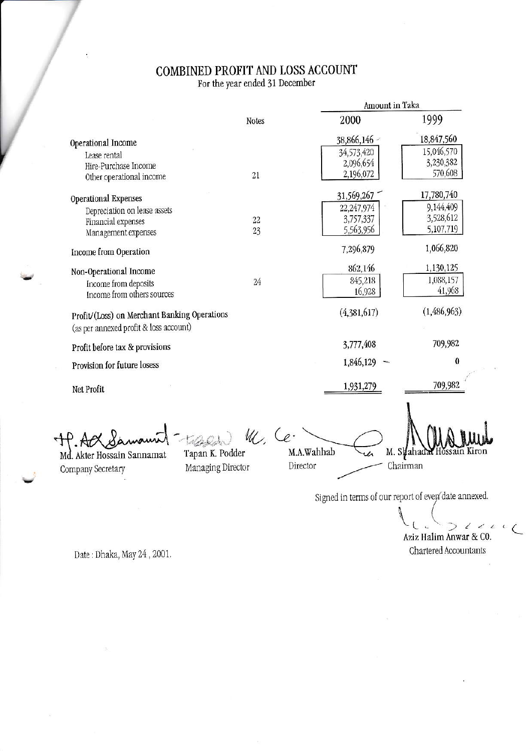## $\begin{array}{c} \textbf{COMBINED PROFIT AND LOSS ACCOUNT}\\ \textbf{For the year ended 31 December} \end{array}$

|                                              |                   |                                                    | Amount in Taka |  |
|----------------------------------------------|-------------------|----------------------------------------------------|----------------|--|
|                                              | <b>Notes</b>      | 2000                                               | 1999           |  |
| Operational Income                           |                   | 38,866,146                                         | 18,847,560     |  |
| Lease rental                                 |                   | 34,573,420                                         | 15,046,570     |  |
| Hire-Purchase Income                         |                   | 2,096,654                                          | 3,230,382      |  |
| Other operational income                     | 21                | 2,196,072                                          | 570,608        |  |
| Operational Expenses                         |                   | 31,569,267                                         | 17,780,740     |  |
| Depreciation on lease assets                 |                   | 22,247,974                                         | 9,144,409      |  |
| Financial expenses                           | 22                | 3,757,337                                          | 3,528,612      |  |
| Management expenses                          | 23                | 5,563,956                                          | 5,107,719      |  |
| Income from Operation                        |                   | 7,296,879                                          | 1,066,820      |  |
| Non-Operational Income                       |                   | 862,146                                            | 1,130,125      |  |
| Income from deposits                         | 24                | 845,218                                            | 1,088,157      |  |
| Income from others sources                   |                   | 16,928                                             | 41,968         |  |
| Profit/(Loss) on Merchant Banking Operations |                   | (4,381,617)                                        | (1,486,963)    |  |
| (as per annexed profit & loss account)       |                   |                                                    |                |  |
| Profit before tax & provisions               |                   | 3,777,408                                          | 709,982        |  |
| Provision for future losess                  |                   | 1,846,129                                          | $\bf{0}$       |  |
| Net Profit                                   |                   | 1,931,279                                          | 709,982        |  |
|                                              |                   |                                                    |                |  |
|                                              | M. Ce.            |                                                    |                |  |
| Md. Akter Hossain Sannamat                   | Tapan K. Podder   | M.A.Wahhab                                         | M. Skahada     |  |
| Company Secretary                            | Managing Director | Director                                           | Chairman       |  |
|                                              |                   |                                                    |                |  |
|                                              |                   | Signed in terms of our report of evep date annexed |                |  |
|                                              |                   |                                                    |                |  |

Date: Dhaka, May 24, 2001.

Aziz Halim Anwar & CO. Chartered Accountants

 $\mathbb{C}$  $\subset$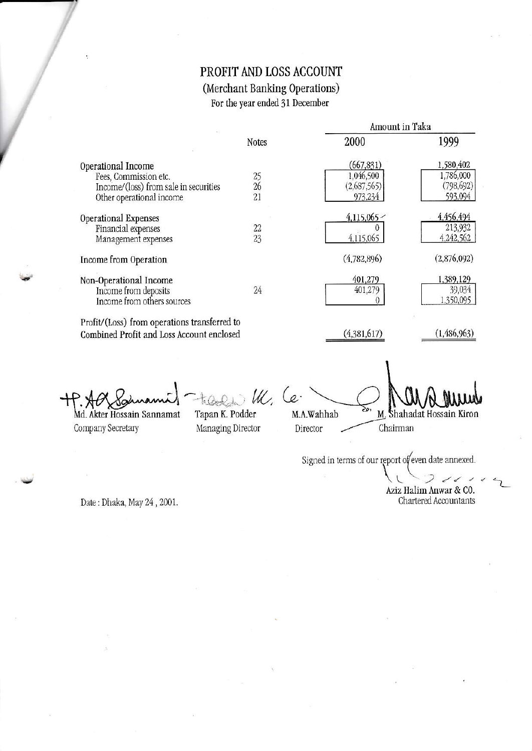## PROFIT AND LOSS ACCOUNT (Merchant Banking Operations) For the year ended 31 December

|                                                                                           | Notes    | Amount in Taka           |                                  |
|-------------------------------------------------------------------------------------------|----------|--------------------------|----------------------------------|
|                                                                                           |          | 2000                     | 1999                             |
| Operational Income                                                                        |          | (667,831)                | 1,580,402<br>1,786,000           |
| Fees, Commission etc.<br>Income/(loss) from sale in securities                            | 25<br>26 | 1,046,500<br>(2,687,565) | (798, 692)                       |
| Other operational income                                                                  | 21       | 973,234                  | 593,094                          |
| Operational Expenses                                                                      |          | 4,115,065                | 4,456,494                        |
| Financial expenses                                                                        | 22       |                          | 213,932                          |
| Management expenses                                                                       | 23       | 4,115,065                | 4,242,562                        |
| Income from Operation                                                                     |          | (4,782,896)              | (2,876,092)                      |
| Non-Operational Income<br>Income from deposits<br>Income from others sources              | 24       | 401,279<br>401,279       | 1,389,129<br>39,034<br>1,350,095 |
| Profit/(Loss) from operations transferred to<br>Combined Profit and Loss Account enclosed |          | (4,381,617)              | (1, 486, 963)                    |

Md. Akter Hossain Sannamat Company Secretary

W. Tapan K. Podder Managing Director

 $\mathcal{L}$ M.A.Wahhab Director

M. Shahadat Hossain Kiron

Chairman

Signed in terms of our report of even date annexed.

Aziz Halim Anwar & CO. Chartered Accountants

Date: Dhaka, May 24, 2001.